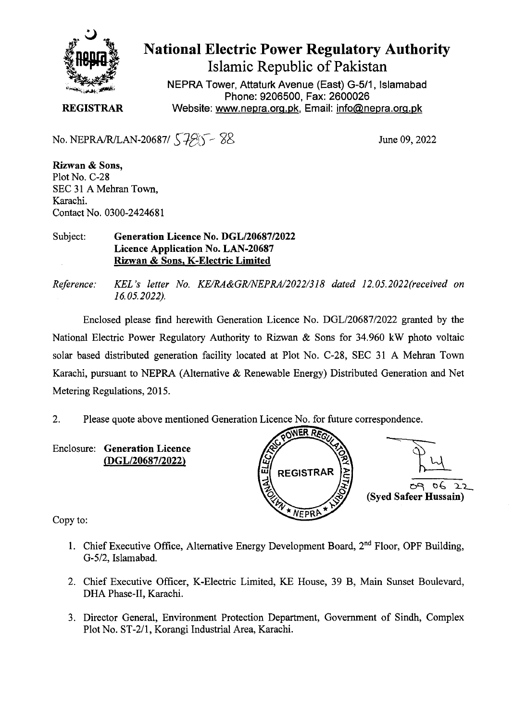

## **National Electric Power Regulatory Authority**

**Islamic Republic of Pakistan** 

**NEPRA Tower, Attaturk Avenue (East) G-511, Islamabad Phone: 9206500, Fax: 2600026 REGISTRAR** Website: www.nepra.org.pk, Email: info@nepra.org.pk

No. NEPRA/R/LAN-20687/  $\sqrt{7}$   $\sqrt{8}$  June 09, 2022

**Rizwan** & **Sons,**  Plot No. C-28 SEC 31 A Mehran Town, Karachi. Contact No. 0300-242468 1

## Subject: **Generation Licence No.** *DGL120687/2022*  **Licence Application No. LAN-20687 Rizwan & Sons, K-Electric Limited**

*Reference: KEL 's letter No. KE/RA&GR/NEPRA/2022/318 dated 12. 05.2022(received on 16.05.2022).* 

Enclosed please find herewith Generation Licence No. DGL/20687/2022 granted by the National Electric Power Regulatory Authority to Rizwan & Sons for 34.960 kW photo voltaic solar based distributed generation facility located at Plot No. C-28, SEC 31 A Mehran Town Karachi, pursuant to NEPRA (Alternative & Renewable Energy) Distributed Generation and Net Metering Regulations, 2015.

2. Please quote above mentioned Generation Licence No. for future correspondence.

**Enclosure: Generation Licence**  *(DGL/2068712022)* 



Copy to:

- 1. Chief Executive Office, Alternative Energy Development Board,  $2<sup>nd</sup>$  Floor, OPF Building, G-5/2, Islamabad.
- 2. Chief Executive Officer, K-Electric Limited, KE House, 39 B, Main Sunset Boulevard, DHA Phase-Il, Karachi.
- 3. Director General, Environment Protection Department, Government of Sindh, Complex Plot No. ST-2/1, Korangi Industrial Area, Karachi.